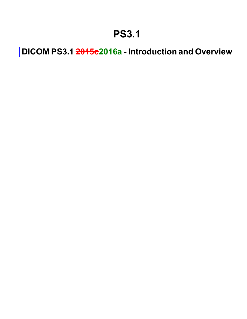## **PS3.1**

**DICOM PS3.1 2015c2016a - Introduction and Overview**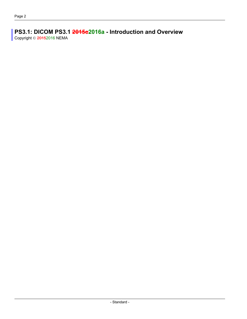#### **PS3.1: DICOM PS3.1 2015c2016a - Introduction and Overview** Copyright © 20152016 NEMA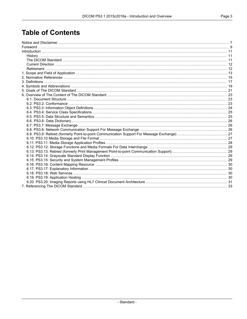## **Table of Contents**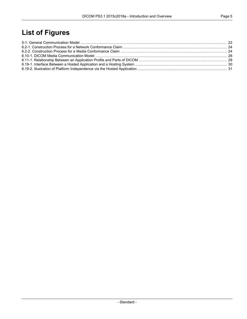## **List of Figures**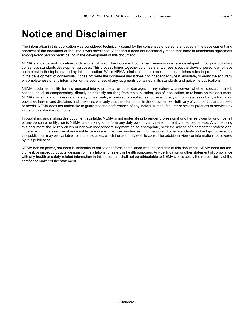## <span id="page-6-0"></span>**Notice and Disclaimer**

The information in this publication was considered technically sound by the consensus of persons engaged in the development and approval of the document at the time it was developed. Consensus does not necessarily mean that there is unanimous agreement among every person participating in the development of this document.

NEMA standards and guideline publications, of which the document contained herein is one, are developed through a voluntary consensus standards development process. This process brings together volunteers and/or seeks out the views of persons who have an interest in the topic covered by this publication. While NEMA administers the process and establishes rules to promote fairness in the development of consensus, it does not write the document and it does not independently test, evaluate, or verify the accuracy or completeness of any information or the soundness of any judgments contained in its standards and guideline publications.

NEMA disclaims liability for any personal injury, property, or other damages of any nature whatsoever, whether special, indirect, consequential, or compensatory, directly or indirectly resulting from the publication, use of, application, or reliance on this document. NEMA disclaims and makes no guaranty or warranty, expressed or implied, as to the accuracy or completeness of any information published herein, and disclaims and makes no warranty that the information in this document will fulfill any of your particular purposes or needs. NEMA does not undertake to guarantee the performance of any individual manufacturer or seller's products or services by virtue of this standard or guide.

In publishing and making this document available, NEMA is not undertaking to render professional or other services for or on behalf of any person or entity, nor is NEMA undertaking to perform any duty owed by any person or entity to someone else. Anyone using this document should rely on his or her own independent judgment or, as appropriate, seek the advice of a competent professional in determining the exercise of reasonable care in any given circumstances. Information and other standards on the topic covered by this publication may be available from other sources, which the user may wish to consult for additional views or information not covered by this publication.

NEMA has no power, nor does it undertake to police or enforce compliance with the contents of this document. NEMA does not certify, test, or inspect products, designs, or installations for safety or health purposes. Any certification or other statement of compliance with any health or safety-related information in this document shall not be attributable to NEMA and is solely the responsibility of the certifier or maker of the statement.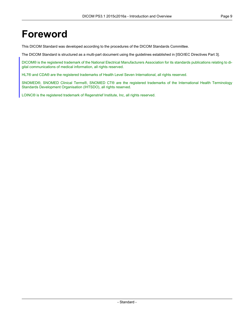## <span id="page-8-0"></span>**Foreword**

This DICOM Standard was developed according to the procedures of the DICOM Standards Committee.

The DICOM Standard is structured as a multi-part document using the guidelines established in [ISO/IEC [Directives](#page-14-1) Part 3].

DICOM® is the registered trademark of the National Electrical Manufacturers Association for its standards publications relating to digital communications of medical information, all rights reserved.

HL7® and CDA® are the registered trademarks of Health Level Seven International, all rights reserved.

SNOMED®, SNOMED Clinical Terms®, SNOMED CT® are the registered trademarks of the International Health Terminology Standards Development Organisation (IHTSDO), all rights reserved.

LOINC® is the registered trademark of Regenstrief Institute, Inc, all rights reserved.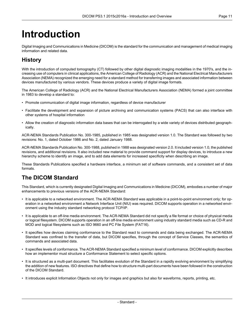# <span id="page-10-0"></span>**Introduction**

<span id="page-10-1"></span>Digital Imaging and Communications in Medicine (DICOM) is the standard for the communication and management of medical imaging information and related data.

## **History**

With the introduction of computed tomography (CT) followed by other digital diagnostic imaging modalities in the 1970's, and the increasing use of computers in clinical applications, the American College of Radiology (ACR) and the National Electrical Manufacturers Association (NEMA) recognized the emerging need for a standard method for transferring images and associated information between devices manufactured by various vendors. These devices produce a variety of digital image formats.

The American College of Radiology (ACR) and the National Electrical Manufacturers Association (NEMA) formed a joint committee in 1983 to develop a standard to:

- Promote communication of digital image information, regardless of device manufacturer
- Facilitate the development and expansion of picture archiving and communication systems (PACS) that can also interface with other systems of hospital information
- Allow the creation of diagnostic information data bases that can be interrogated by a wide variety of devices distributed geographically.

ACR-NEMA Standards Publication No. 300-1985, published in 1985 was designated version 1.0. The Standard was followed by two revisions: No. 1, dated October 1986 and No. 2, dated January 1988.

<span id="page-10-2"></span>ACR-NEMA Standards Publication No. 300-1988, published in 1988 was designated version 2.0. It included version 1.0, the published revisions, and additional revisions. It also included new material to provide command support for display devices, to introduce a new hierarchy scheme to identify an image, and to add data elements for increased specificity when describing an image.

These Standards Publications specified a hardware interface, a minimum set of software commands, and a consistent set of data formats.

### **The DICOM Standard**

This Standard, which is currently designated Digital Imaging and Communications in Medicine (DICOM), embodies a number of major enhancements to previous versions of the ACR-NEMA Standard:

- It is applicable to a networked environment. The ACR-NEMA Standard was applicable in a point-to-point environment only; for operation in a networked environment a Network Interface Unit (NIU) was required. DICOM supports operation in a networked environment using the industry standard networking protocol TCP/IP.
- It is applicable to an off-line media environment. The ACR-NEMA Standard did not specify a file format or choice of physical media or logical filesystem. DICOM supports operation in an off-line media environment using industry standard media such as CD-R and MOD and logical filesystems such as ISO 9660 and PC File System (FAT16).
- It specifies how devices claiming conformance to the Standard react to commands and data being exchanged. The ACR-NEMA Standard was confined to the transfer of data, but DICOM specifies, through the concept of Service Classes, the semantics of commands and associated data.
- It specifies levels of conformance. The ACR-NEMA Standard specified a minimum level of conformance. DICOM explicitly describes how an implementor must structure a Conformance Statement to select specific options.
- It is structured as a multi-part document. This facilitates evolution of the Standard in a rapidly evolving environment by simplifying the addition of new features. ISO directives that define how to structure multi-part documents have been followed in the construction of the DICOM Standard.
- It introduces explicit Information Objects not only for images and graphics but also for waveforms, reports, printing, etc.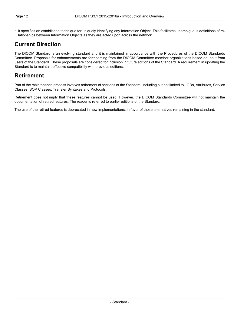• It specifies an established technique for uniquely identifying any Information Object. This facilitates unambiguous definitions of relationships between Information Objects as they are acted upon across the network.

## <span id="page-11-0"></span>**Current Direction**

<span id="page-11-1"></span>The DICOM Standard is an evolving standard and it is maintained in accordance with the Procedures of the DICOM Standards Committee. Proposals for enhancements are forthcoming from the DICOM Committee member organizations based on input from users of the Standard. These proposals are considered for inclusion in future editions of the Standard. A requirement in updating the Standard is to maintain effective compatibility with previous editions.

### **Retirement**

Part of the maintenance process involves retirement of sections of the Standard, including but not limited to, IODs, Attributes, Service Classes, SOP Classes, Transfer Syntaxes and Protocols.

Retirement does not imply that these features cannot be used. However, the DICOM Standards Committee will not maintain the documentation of retired features. The reader is referred to earlier editions of the Standard.

The use of the retired features is deprecated in new implementations, in favor of those alternatives remaining in the standard.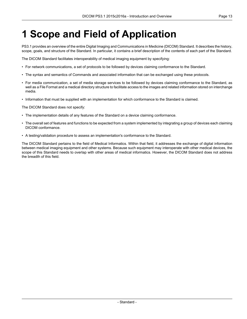# <span id="page-12-0"></span>**1 Scope and Field of Application**

PS3.1 provides an overview of the entire Digital Imaging and Communications in Medicine (DICOM) Standard. It describes the history, scope, goals, and structure of the Standard. In particular, it contains a brief description of the contents of each part of the Standard.

The DICOM Standard facilitates interoperability of medical imaging equipment by specifying:

- For network communications, a set of protocols to be followed by devices claiming conformance to the Standard.
- The syntax and semantics of Commands and associated information that can be exchanged using these protocols.
- For media communication, a set of media storage services to be followed by devices claiming conformance to the Standard, as well as a File Format and a medical directory structure to facilitate access to the images and related information stored on interchange media.
- Information that must be supplied with an implementation for which conformance to the Standard is claimed.

The DICOM Standard does not specify:

- The implementation details of any features of the Standard on a device claiming conformance.
- The overall set of features and functions to be expected from a system implemented by integrating a group of devices each claiming DICOM conformance.
- A testing/validation procedure to assess an implementation's conformance to the Standard.

The DICOM Standard pertains to the field of Medical Informatics. Within that field, it addresses the exchange of digital information between medical imaging equipment and other systems. Because such equipment may interoperate with other medical devices, the scope of this Standard needs to overlap with other areas of medical informatics. However, the DICOM Standard does not address the breadth of this field.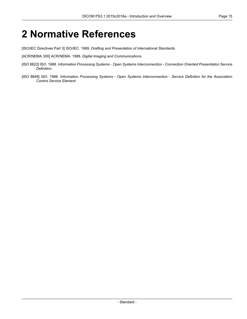## <span id="page-14-0"></span>**2 Normative References**

<span id="page-14-1"></span>[ISO/IEC Directives Part 3] ISO/IEC. 1989. *Drafting and Presentation of International Standards*.

[ACR/NEMA 300] ACR/NEMA. 1988. *Digital Imaging and Communications*.

- [ISO 8822] ISO. 1988. *Information Processing Systems - Open Systems Interconnection - Connection Oriented Presentation Service Definition*.
- [ISO 8649] ISO. 1988. *Information Processing Systems - Open Systems Interconnection - Service Definition for the Association Control Service Element*.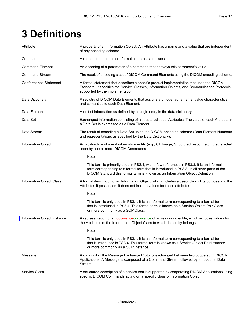## <span id="page-16-0"></span>**3 Definitions**

| Attribute                    | A property of an Information Object. An Attribute has a name and a value that are independent<br>of any encoding scheme.                                                                                                                                               |
|------------------------------|------------------------------------------------------------------------------------------------------------------------------------------------------------------------------------------------------------------------------------------------------------------------|
| Command                      | A request to operate on information across a network.                                                                                                                                                                                                                  |
| <b>Command Element</b>       | An encoding of a parameter of a command that conveys this parameter's value.                                                                                                                                                                                           |
| <b>Command Stream</b>        | The result of encoding a set of DICOM Command Elements using the DICOM encoding scheme.                                                                                                                                                                                |
| <b>Conformance Statement</b> | A formal statement that describes a specific product implementation that uses the DICOM<br>Standard. It specifies the Service Classes, Information Objects, and Communication Protocols<br>supported by the implementation.                                            |
| Data Dictionary              | A registry of DICOM Data Elements that assigns a unique tag, a name, value characteristics,<br>and semantics to each Data Element.                                                                                                                                     |
| Data Element                 | A unit of information as defined by a single entry in the data dictionary.                                                                                                                                                                                             |
| Data Set                     | Exchanged information consisting of a structured set of Attributes. The value of each Attribute in<br>a Data Set is expressed as a Data Element.                                                                                                                       |
| Data Stream                  | The result of encoding a Data Set using the DICOM encoding scheme (Data Element Numbers<br>and representations as specified by the Data Dictionary).                                                                                                                   |
| Information Object           | An abstraction of a real information entity (e.g., CT Image, Structured Report, etc.) that is acted<br>upon by one or more DICOM Commands.                                                                                                                             |
|                              | <b>Note</b>                                                                                                                                                                                                                                                            |
|                              | This term is primarily used in PS3.1, with a few references in PS3.3. It is an informal<br>term corresponding to a formal term that is introduced in PS3.3. In all other parts of the<br>DICOM Standard this formal term is known as an Information Object Definition. |
| Information Object Class     | A formal description of an Information Object, which includes a description of its purpose and the<br>Attributes it possesses. It does not include values for these attributes.                                                                                        |
|                              | <b>Note</b>                                                                                                                                                                                                                                                            |
|                              | This term is only used in PS3.1. It is an informal term corresponding to a formal term<br>that is introduced in PS3.4. This formal term is known as a Service-Object Pair Class<br>or more commonly as a SOP Class.                                                    |
| Information Object Instance  | A representation of an occurence occurrence of an real-world entity, which includes values for<br>the Attributes of the Information Object Class to which the entity belongs.                                                                                          |
|                              | Note                                                                                                                                                                                                                                                                   |
|                              | This term is only used in PS3.1. It is an informal term corresponding to a formal term<br>that is introduced in PS3.4. This formal term is known as a Service-Object Pair Instance<br>or more commonly as a SOP Instance.                                              |
| Message                      | A data unit of the Message Exchange Protocol exchanged between two cooperating DICOM<br>Applications. A Message is composed of a Command Stream followed by an optional Data<br>Stream.                                                                                |
| <b>Service Class</b>         | A structured description of a service that is supported by cooperating DICOM Applications using<br>specific DICOM Commands acting on a specific class of Information Object.                                                                                           |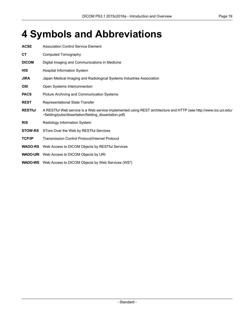# <span id="page-18-0"></span>**4 Symbols and Abbreviations**

| <b>ACSE</b>    | <b>Association Control Service Element</b>                                                                                                                                 |
|----------------|----------------------------------------------------------------------------------------------------------------------------------------------------------------------------|
| СT             | Computed Tomography                                                                                                                                                        |
| <b>DICOM</b>   | Digital Imaging and Communications in Medicine                                                                                                                             |
| <b>HIS</b>     | <b>Hospital Information System</b>                                                                                                                                         |
| <b>JIRA</b>    | Japan Medical Imaging and Radiological Systems Industries Association                                                                                                      |
| <b>OSI</b>     | Open Systems Interconnection                                                                                                                                               |
| <b>PACS</b>    | Picture Archiving and Communication Systems                                                                                                                                |
| <b>REST</b>    | Representational State Transfer                                                                                                                                            |
| <b>RESTful</b> | A RESTful Web service is a Web service implemented using REST architecture and HTTP (see http://www.ics.uci.edu/<br>~fielding/pubs/dissertation/fielding_dissertation.pdf) |
| <b>RIS</b>     | Radiology Information System                                                                                                                                               |
| <b>STOW-RS</b> | STore Over the Web by RESTful Services                                                                                                                                     |
| <b>TCP/IP</b>  | <b>Transmission Control Protocol/Internet Protocol</b>                                                                                                                     |
| <b>WADO-RS</b> | Web Access to DICOM Objects by RESTful Services                                                                                                                            |
|                | <b>WADO-URI</b> Web Access to DICOM Objects by URI                                                                                                                         |
|                | <b>WADO-WS</b> Web Access to DICOM Objects by Web Services (WS*)                                                                                                           |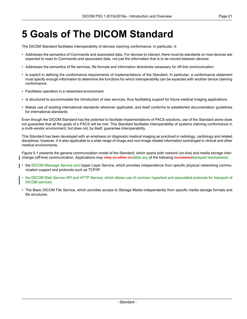## <span id="page-20-0"></span>**5 Goals of The DICOM Standard**

The DICOM Standard facilitates interoperability of devices claiming conformance. In particular, it:

- Addresses the semantics of Commands and associated data. For devices to interact, there must be standards on how devices are expected to react to Commands and associated data, not just the information that is to be moved between devices.
- Addresses the semantics of file services, file formats and information directories necessary for off-line communication.
- Is explicit in defining the conformance requirements of implementations of the Standard. In particular, a conformance statement must specify enough information to determine the functions for which interoperability can be expected with another device claiming conformance.
- Facilitates operation in a networked environment.
- Is structured to accommodate the introduction of new services, thus facilitating support for future medical imaging applications.
- Makes use of existing international standards wherever applicable, and itself conforms to established documentation guidelines for international standards.

Even though the DICOM Standard has the potential to facilitate implementations of PACS solutions, use of the Standard alone does not guarantee that all the goals of a PACS will be met. This Standard facilitates interoperability of systems claiming conformance in a multi-vendor environment, but does not, by itself, guarantee interoperability.

This Standard has been developed with an emphasis on diagnostic medical imaging as practiced in radiology, cardiology and related disciplines; however, it is also applicable to a wide range of image and non-image related information exchanged in clinical and other medical environments.

[Figure](#page-21-0) 5-1 presents the general communication model of the Standard, which spans both network (on-line) and media storage interchange (off-line) communication. Applications may relay on either onutilize any of the following boundariestransport mechanisms:

- the DICOM Message Service and Upper Layer Service, which provides independence from specific physical networking communication support and protocols such as TCP/IP.
- the DICOM Web Service API and HTTP Service, which allows use of common hypertext and associated protocols for transport of DICOM services
- The Basic DICOM File Service, which provides access to Storage Media independently from specific media storage formats and file structures.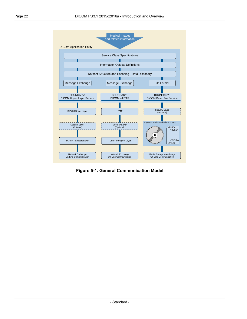<span id="page-21-0"></span>

**Figure 5-1. General Communication Model**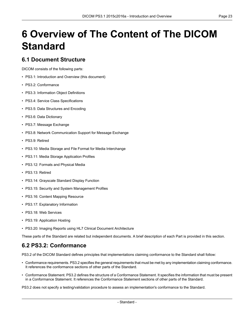# <span id="page-22-0"></span>**6 Overview of The Content of The DICOM Standard**

### <span id="page-22-1"></span>**6.1 Document Structure**

DICOM consists of the following parts:

- PS3.1: Introduction and Overview (this document)
- PS3.2: [Conformance](part02.pdf#PS3.2)
- PS3.3: [Information](part03.pdf#PS3.3) Object Definitions
- PS3.4: Service Class [Specifications](part04.pdf#PS3.4)
- PS3.5: Data [Structures](part05.pdf#PS3.5) and Encoding
- PS3.6: Data [Dictionary](part06.pdf#PS3.6)
- PS3.7: Message [Exchange](part07.pdf#PS3.7)
- PS3.8: Network [Communication](part08.pdf#PS3.8) Support for Message Exchange
- PS3.9: Retired
- PS3.10: Media Storage and File Format for Media [Interchange](part10.pdf#PS3.10)
- PS3.11: Media Storage [Application](part11.pdf#PS3.11) Profiles
- PS3.12: Formats and [Physical](part12.pdf#PS3.12) Media
- PS3.13: Retired
- PS3.14: [Grayscale](part14.pdf#PS3.14) Standard Display Function
- PS3.15: Security and System [Management](part15.pdf#PS3.15) Profiles
- PS3.16: Content Mapping [Resource](part16.pdf#PS3.16)
- PS3.17: [Explanatory](part17.pdf#PS3.17) Information
- PS3.18: Web [Services](part18.pdf#PS3.18)
- <span id="page-22-2"></span>• PS3.19: [Application](part19.pdf#PS3.19) Hosting
- PS3.20: Imaging Reports using HL7 Clinical Document [Architecture](part20.pdf#PS3.20)

These parts of the Standard are related but independent documents. A brief description of each Part is provided in this section.

### **6.2 PS3.2: Conformance**

[PS3.2](part02.pdf#PS3.2) of the DICOM Standard defines principles that implementations claiming conformance to the Standard shall follow:

- Conformance requirements. [PS3.2](part02.pdf#PS3.2) specifies the general requirements that must be met by any implementation claiming conformance. It references the conformance sections of other parts of the Standard.
- Conformance Statement. [PS3.2](part02.pdf#PS3.2) defines the structure of a Conformance Statement. It specifies the information that must be present in a Conformance Statement. It references the Conformance Statement sections of other parts of the Standard.

[PS3.2](part02.pdf#PS3.2) does not specify a testing/validation procedure to assess an implementation's conformance to the Standard.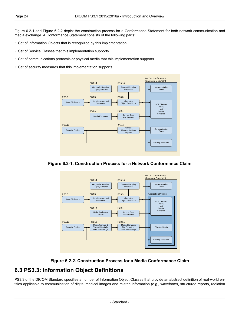[Figure](#page-23-1) 6.2-1 and [Figure](#page-23-2) 6.2-2 depict the construction process for a Conformance Statement for both network communication and media exchange. A Conformance Statement consists of the following parts:

- Set of Information Objects that is recognized by this implementation
- Set of Service Classes that this implementation supports
- Set of communications protocols or physical media that this implementation supports
- <span id="page-23-1"></span>• Set of security measures that this implementation supports.



<span id="page-23-2"></span>





#### <span id="page-23-0"></span>**6.3 PS3.3: Information Object Definitions**

[PS3.3](part03.pdf#PS3.3) of the DICOM Standard specifies a number of Information Object Classes that provide an abstract definition of real-world entities applicable to communication of digital medical images and related information (e.g., waveforms, structured reports, radiation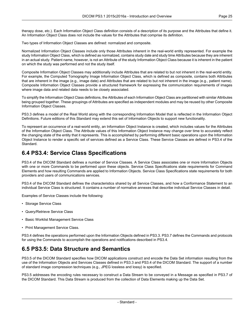therapy dose, etc.). Each Information Object Class definition consists of a description of its purpose and the Attributes that define it. An Information Object Class does not include the values for the Attributes that comprise its definition.

Two types of Information Object Classes are defined: normalized and composite.

Normalized Information Object Classes include only those Attributes inherent in the real-world entity represented. For example the study Information Object Class, which is defined as normalized, contains study date and study time Attributes because they are inherent in an actual study. Patient name, however, is not an Attribute of the study Information Object Class because it is inherent in the patient on which the study was performed and not the study itself.

Composite Information Object Classes may additionally include Attributes that are related to but not inherent in the real-world entity. For example, the Computed Tomography Image Information Object Class, which is defined as composite, contains both Attributes that are inherent in the image (e.g., image date) and Attributes that are related to but not inherent in the image (e.g., patient name). Composite Information Object Classes provide a structured framework for expressing the communication requirements of images where image data and related data needs to be closely associated.

To simplify the Information Object Class definitions, the Attributes of each Information Object Class are partitioned with similar Attributes being grouped together. These groupings of Attributes are specified as independent modules and may be reused by other Composite Information Object Classes.

[PS3.3](part03.pdf#PS3.3) defines a model of the Real World along with the corresponding Information Model that is reflected in the Information Object Definitions. Future editions of this Standard may extend this set of Information Objects to support new functionality.

<span id="page-24-0"></span>To represent an occurrence of a real-world entity, an Information Object Instance is created, which includes values for the Attributes of the Information Object Class. The Attribute values of this Information Object Instance may change over time to accurately reflect the changing state of the entity that it represents. This is accomplished by performing different basic operations upon the Information Object Instance to render a specific set of services defined as a Service Class. These Service Classes are defined in [PS3.4](part04.pdf#PS3.4) of the Standard.

#### **6.4 PS3.4: Service Class Specifications**

[PS3.4](part04.pdf#PS3.4) of the DICOM Standard defines a number of Service Classes. A Service Class associates one or more Information Objects with one or more Commands to be performed upon these objects. Service Class Specifications state requirements for Command Elements and how resulting Commands are applied to Information Objects. Service Class Specifications state requirements for both providers and users of communications services.

[PS3.4](part04.pdf#PS3.4) of the DICOM Standard defines the characteristics shared by all Service Classes, and how a Conformance Statement to an individual Service Class is structured. It contains a number of normative annexes that describe individual Service Classes in detail.

Examples of Service Classes include the following:

- Storage Service Class
- Query/Retrieve Service Class
- <span id="page-24-1"></span>• Basic Worklist Management Service Class
- Print Management Service Class.

[PS3.4](part04.pdf#PS3.4) defines the operations performed upon the Information Objects defined in [PS3.3.](part03.pdf#PS3.3) [PS3.7](part07.pdf#PS3.7) defines the Commands and protocols for using the Commands to accomplish the operations and notifications described in [PS3.4](part04.pdf#PS3.4).

### **6.5 PS3.5: Data Structure and Semantics**

[PS3.5](part05.pdf#PS3.5) of the DICOM Standard specifies how DICOM applications construct and encode the Data Set information resulting from the use of the Information Objects and Services Classes defined in [PS3.3](part03.pdf#PS3.3) and [PS3.4](part04.pdf#PS3.4) of the DICOM Standard. The support of a number of standard image compression techniques (e.g., JPEG lossless and lossy) is specified.

[PS3.5](part05.pdf#PS3.5) addresses the encoding rules necessary to construct a Data Stream to be conveyed in a Message as specified in [PS3.7](part07.pdf#PS3.7) of the DICOM Standard. This Data Stream is produced from the collection of Data Elements making up the Data Set.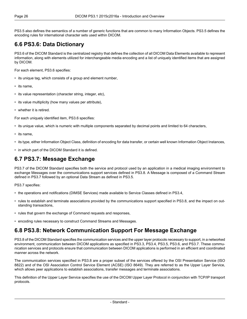<span id="page-25-0"></span>[PS3.5](part05.pdf#PS3.5) also defines the semantics of a number of generic functions that are common to many Information Objects. [PS3.5](part05.pdf#PS3.5) defines the encoding rules for international character sets used within DICOM.

## **6.6 PS3.6: Data Dictionary**

[PS3.6](part06.pdf#PS3.6) of the DICOM Standard is the centralized registry that defines the collection of all DICOM Data Elements available to represent information, along with elements utilized for interchangeable media encoding and a list of uniquely identified items that are assigned by DICOM.

For each element, [PS3.6](part06.pdf#PS3.6) specifies:

- its unique tag, which consists of a group and element number,
- its name,
- its value representation (character string, integer, etc),
- its value multiplicity (how many values per attribute),
- whether it is retired.

For each uniquely identified item, [PS3.6](part06.pdf#PS3.6) specifies:

- its unique value, which is numeric with multiple components separated by decimal points and limited to 64 characters,
- its name,
- <span id="page-25-1"></span>• its type, either Information Object Class, definition of encoding for data transfer, or certain well known Information Object Instances,
- in which part of the DICOM Standard it is defined.

#### **6.7 PS3.7: Message Exchange**

[PS3.7](part07.pdf#PS3.7) of the DICOM Standard specifies both the service and protocol used by an application in a medical imaging environment to exchange Messages over the communications support services defined in [PS3.8.](part08.pdf#PS3.8) A Message is composed of a Command Stream defined in [PS3.7](part07.pdf#PS3.7) followed by an optional Data Stream as defined in [PS3.5](part05.pdf#PS3.5).

[PS3.7](part07.pdf#PS3.7) specifies:

- the operations and notifications (DIMSE Services) made available to Service Classes defined in [PS3.4,](part04.pdf#PS3.4)
- <span id="page-25-2"></span>• rules to establish and terminate associations provided by the communications support specified in [PS3.8,](part08.pdf#PS3.8) and the impact on outstanding transactions,
- rules that govern the exchange of Command requests and responses,
- encoding rules necessary to construct Command Streams and Messages.

### **6.8 PS3.8: Network Communication Support For Message Exchange**

[PS3.8](part08.pdf#PS3.8) of the DICOM Standard specifies the communication services and the upper layer protocols necessary to support, in a networked environment, communication between DICOM applications as specified in [PS3.3](part03.pdf#PS3.3), [PS3.4,](part04.pdf#PS3.4) [PS3.5](part05.pdf#PS3.5), [PS3.6,](part06.pdf#PS3.6) and [PS3.7.](part07.pdf#PS3.7) These communication services and protocols ensure that communication between DICOM applications is performed in an efficient and coordinated manner across the network.

The communication services specified in [PS3.8](part08.pdf#PS3.8) are a proper subset of the services offered by the OSI Presentation Service (ISO 8822) and of the OSI Association Control Service Element (ACSE) (ISO 8649). They are referred to as the Upper Layer Service, which allows peer applications to establish associations, transfer messages and terminate associations.

This definition of the Upper Layer Service specifies the use of the DICOM Upper Layer Protocol in conjunction with TCP/IP transport protocols.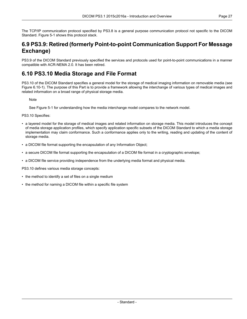<span id="page-26-0"></span>The TCP/IP communication protocol specified by [PS3.8](part08.pdf#PS3.8) is a general purpose communication protocol not specific to the DICOM Standard. [Figure](#page-21-0) 5-1 shows this protocol stack.

### **6.9 PS3.9: Retired (formerly Point-to-point Communication Support For Message Exchange)**

<span id="page-26-1"></span>PS3.9 of the DICOM Standard previously specified the services and protocols used for point-to-point communications in a manner compatible with ACR-NEMA 2.0. It has been retired.

### **6.10 PS3.10 Media Storage and File Format**

[PS3.10](part10.pdf#PS3.10) of the DICOM Standard specifies a general model for the storage of medical imaging information on removable media (see Figure [6.10-1\)](#page-27-1). The purpose of this Part is to provide a framework allowing the interchange of various types of medical images and related information on a broad range of physical storage media.

**Note** 

See [Figure](#page-21-0) 5-1 for understanding how the media interchange model compares to the network model.

[PS3.10](part10.pdf#PS3.10) Specifies:

- a layered model for the storage of medical images and related information on storage media. This model introduces the concept of media storage application profiles, which specify application specific subsets of the DICOM Standard to which a media storage implementation may claim conformance. Such a conformance applies only to the writing, reading and updating of the content of storage media.
- a DICOM file format supporting the encapsulation of any Information Object;
- a secure DICOM file format supporting the encapsulation of a DICOM file format in a cryptographic envelope;
- a DICOM file service providing independence from the underlying media format and physical media.

[PS3.10](part10.pdf#PS3.10) defines various media storage concepts:

- the method to identify a set of files on a single medium
- the method for naming a DICOM file within a specific file system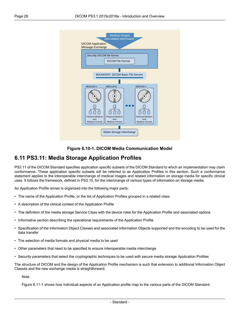<span id="page-27-1"></span>



#### <span id="page-27-0"></span>**6.11 PS3.11: Media Storage Application Profiles**

[PS3.11](part11.pdf#PS3.11) of the DICOM Standard specifies application specific subsets of the DICOM Standard to which an implementation may claim conformance. These application specific subsets will be referred to as Application Profiles in this section. Such a conformance statement applies to the interoperable interchange of medical images and related information on storage media for specific clinical uses. It follows the framework, defined in [PS3.10](part10.pdf#PS3.10), for the interchange of various types of information on storage media.

An Application Profile annex is organized into the following major parts:

- The name of the Application Profile, or the list of Application Profiles grouped in a related class
- A description of the clinical context of the Application Profile
- The definition of the media storage Service Class with the device roles for the Application Profile and associated options
- Informative section describing the operational requirements of the Application Profile
- Specification of the Information Object Classes and associated Information Objects supported and the encoding to be used for the data transfer
- The selection of media formats and physical media to be used
- Other parameters that need to be specified to ensure interoperable media interchange
- Security parameters that select the cryptographic techniques to be used with secure media storage Application Profiles

The structure of DICOM and the design of the Application Profile mechanism is such that extension to additional Information Object Classes and the new exchange media is straightforward.

**Note** 

[Figure](#page-28-4) 6.11-1 shows how individual aspects of an Application profile map to the various parts of the DICOM Standard.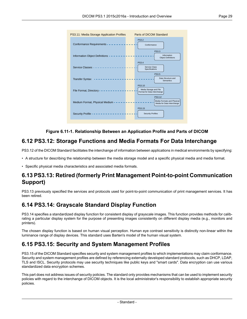<span id="page-28-4"></span>

#### **Figure 6.11-1. Relationship Between an Application Profile and Parts of DICOM**

#### <span id="page-28-0"></span>**6.12 PS3.12: Storage Functions and Media Formats For Data Interchange**

[PS3.12](part12.pdf#PS3.12) of the DICOM Standard facilitates the interchange of information between applications in medical environments by specifying:

<span id="page-28-1"></span>• A structure for describing the relationship between the media storage model and a specific physical media and media format.

• Specific physical media characteristics and associated media formats.

#### <span id="page-28-2"></span>**6.13 PS3.13: Retired (formerly Print Management Point-to-point Communication Support)**

PS3.13 previously specified the services and protocols used for point-to-point communication of print management services. It has been retired.

#### **6.14 PS3.14: Grayscale Standard Display Function**

<span id="page-28-3"></span>[PS3.14](part14.pdf#PS3.14) specifies a standardized display function for consistent display of grayscale images. This function provides methods for calibrating a particular display system for the purpose of presenting images consistently on different display media (e.g., monitors and printers).

The chosen display function is based on human visual perception. Human eye contrast sensitivity is distinctly non-linear within the luminance range of display devices. This standard uses Barten's model of the human visual system.

### **6.15 PS3.15: Security and System Management Profiles**

[PS3.15](part15.pdf#PS3.15) of the DICOM Standard specifies security and system management profiles to which implementations may claim conformance. Security and system management profiles are defined by referencing externally developed standard protocols, such as DHCP, LDAP, TLS and ISCL. Security protocols may use security techniques like public keys and "smart cards". Data encryption can use various standardized data encryption schemes.

This part does not address issues of security policies. The standard only provides mechanisms that can be used to implement security policies with regard to the interchange of DICOM objects. It is the local administrator's responsibility to establish appropriate security policies.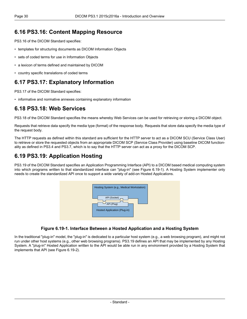### <span id="page-29-0"></span>**6.16 PS3.16: Content Mapping Resource**

[PS3.16](part16.pdf#PS3.16) of the DICOM Standard specifies:

- templates for structuring documents as DICOM Information Objects
- sets of coded terms for use in Information Objects
- a lexicon of terms defined and maintained by DICOM
- <span id="page-29-1"></span>• country specific translations of coded terms

#### **6.17 PS3.17: Explanatory Information**

<span id="page-29-2"></span>[PS3.17](part17.pdf#PS3.17) of the DICOM Standard specifies:

• informative and normative annexes containing explanatory information

#### **6.18 PS3.18: Web Services**

[PS3.18](part18.pdf#PS3.18) of the DICOM Standard specifies the means whereby Web Services can be used for retrieving or storing a DICOM object.

Requests that retrieve data specify the media type (format) of the response body. Requests that store data specify the media type of the request body.

<span id="page-29-3"></span>The HTTP requests as defined within this standard are sufficient for the HTTP server to act as a DICOM SCU (Service Class User) to retrieve or store the requested objects from an appropriate DICOM SCP (Service Class Provider) using baseline DICOM functionality as defined in [PS3.4](part04.pdf#PS3.4) and [PS3.7,](part07.pdf#PS3.7) which is to say that the HTTP server can act as a proxy for the DICOM SCP.

### **6.19 PS3.19: Application Hosting**

<span id="page-29-4"></span>[PS3.19](part19.pdf#PS3.19) of the DICOM Standard specifies an Application Programming Interface (API) to a DICOM based medical computing system into which programs written to that standardized interface can "plug-in" (see [Figure](#page-29-4) 6.19-1). A Hosting System implementer only needs to create the standardized API once to support a wide variety of add-on Hosted Applications.



#### **Figure 6.19-1. Interface Between a Hosted Application and a Hosting System**

In the traditional "plug-in" model, the "plug-in" is dedicated to a particular host system (e.g., a web browsing program), and might not run under other host systems (e.g., other web browsing programs). [PS3.19](part19.pdf#PS3.19) defines an API that may be implemented by any Hosting System. A "plug-in" Hosted Application written to the API would be able run in any environment provided by a Hosting System that implements that API (see [Figure](#page-30-1) 6.19-2).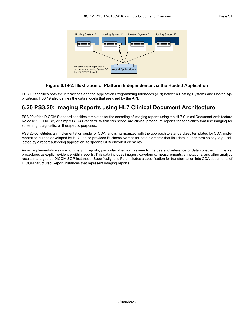<span id="page-30-1"></span>

#### **Figure 6.19-2. Illustration of Platform Independence via the Hosted Application**

<span id="page-30-0"></span>[PS3.19](part19.pdf#PS3.19) specifies both the interactions and the Application Programming Interfaces (API) between Hosting Systems and Hosted Applications. [PS3.19](part19.pdf#PS3.19) also defines the data models that are used by the API.

#### **6.20 PS3.20: Imaging Reports using HL7 Clinical Document Architecture**

[PS3.20](part20.pdf#PS3.20) of the DICOM Standard specifies templates for the encoding of imaging reports using the HL7 Clinical Document Architecture Release 2 (CDA R2, or simply CDA) Standard. Within this scope are clinical procedure reports for specialties that use imaging for screening, diagnostic, or therapeutic purposes.

[PS3.20](part20.pdf#PS3.20) constitutes an implementation guide for CDA, and is harmonized with the approach to standardized templates for CDA implementation guides developed by HL7. It also provides Business Names for data elements that link data in user terminology, e.g., collected by a report authoring application, to specific CDA encoded elements.

As an implementation guide for imaging reports, particular attention is given to the use and reference of data collected in imaging procedures as explicit evidence within reports. This data includes images, waveforms, measurements, annotations, and other analytic results managed as DICOM SOP Instances. Specifically, this Part includes a specification for transformation into CDA documents of DICOM Structured Report instances that represent imaging reports.